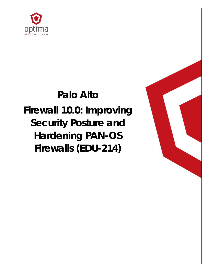

# **Palo Alto**

**Firewall 10.0: Improving Security Posture and Hardening PAN-OS Firewalls (EDU-214)**

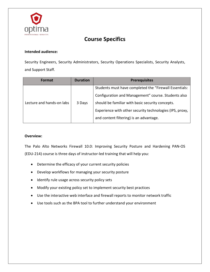

# **Course Specifics**

## **Intended audience:**

Security Engineers, Security Administrators, Security Operations Specialists, Security Analysts, and Support Staff.

| Format                    | <b>Duration</b> | <b>Prerequisites</b>                                     |
|---------------------------|-----------------|----------------------------------------------------------|
| Lecture and hands-on labs | 3 Days          | Students must have completed the "Firewall Essentials:   |
|                           |                 | Configuration and Management" course. Students also      |
|                           |                 | should be familiar with basic security concepts.         |
|                           |                 | Experience with other security technologies (IPS, proxy, |
|                           |                 | and content filtering) is an advantage.                  |

#### **Overview:**

The Palo Alto Networks Firewall 10.0: Improving Security Posture and Hardening PAN-OS (EDU-214) course is three days of instructor-led training that will help you:

- Determine the efficacy of your current security policies
- Develop workflows for managing your security posture
- Identify rule usage across security policy sets
- Modify your existing policy set to implement security best practices
- Use the interactive web interface and firewall reports to monitor network traffic
- Use tools such as the BPA tool to further understand your environment